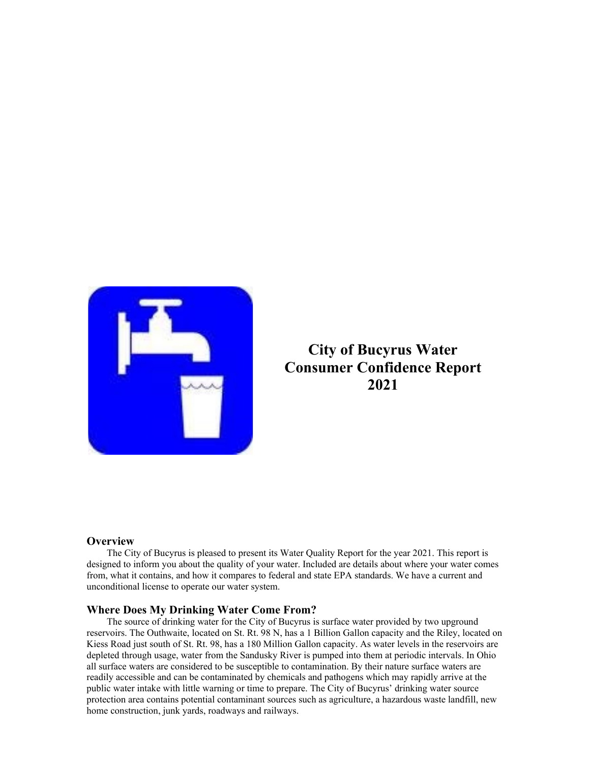

## **City of Bucyrus Water Consumer Confidence Report 2021**

### **Overview**

The City of Bucyrus is pleased to present its Water Quality Report for the year 2021. This report is designed to inform you about the quality of your water. Included are details about where your water comes from, what it contains, and how it compares to federal and state EPA standards. We have a current and unconditional license to operate our water system.

#### **Where Does My Drinking Water Come From?**

The source of drinking water for the City of Bucyrus is surface water provided by two upground reservoirs. The Outhwaite, located on St. Rt. 98 N, has a 1 Billion Gallon capacity and the Riley, located on Kiess Road just south of St. Rt. 98, has a 180 Million Gallon capacity. As water levels in the reservoirs are depleted through usage, water from the Sandusky River is pumped into them at periodic intervals. In Ohio all surface waters are considered to be susceptible to contamination. By their nature surface waters are readily accessible and can be contaminated by chemicals and pathogens which may rapidly arrive at the public water intake with little warning or time to prepare. The City of Bucyrus' drinking water source protection area contains potential contaminant sources such as agriculture, a hazardous waste landfill, new home construction, junk yards, roadways and railways.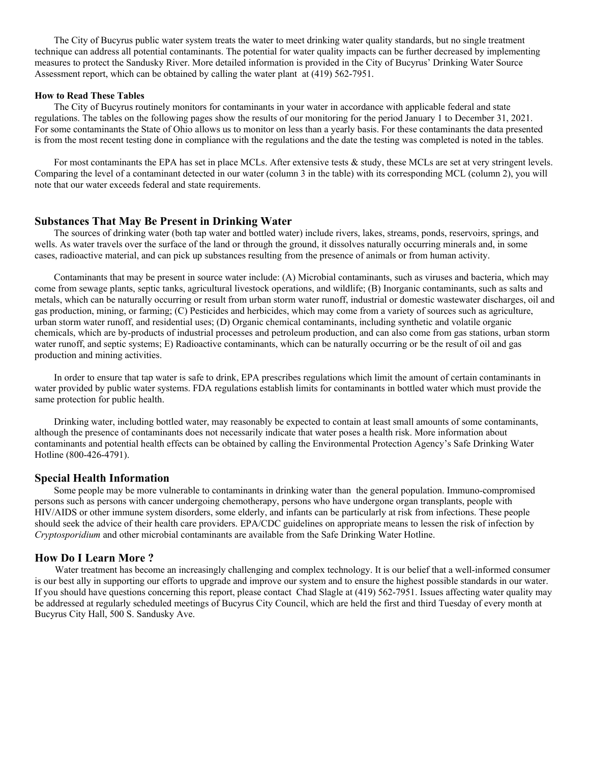The City of Bucyrus public water system treats the water to meet drinking water quality standards, but no single treatment technique can address all potential contaminants. The potential for water quality impacts can be further decreased by implementing measures to protect the Sandusky River. More detailed information is provided in the City of Bucyrus' Drinking Water Source Assessment report, which can be obtained by calling the water plant at (419) 562-7951.

#### **How to Read These Tables**

 The City of Bucyrus routinely monitors for contaminants in your water in accordance with applicable federal and state regulations. The tables on the following pages show the results of our monitoring for the period January 1 to December 31, 2021. For some contaminants the State of Ohio allows us to monitor on less than a yearly basis. For these contaminants the data presented is from the most recent testing done in compliance with the regulations and the date the testing was completed is noted in the tables.

For most contaminants the EPA has set in place MCLs. After extensive tests & study, these MCLs are set at very stringent levels. Comparing the level of a contaminant detected in our water (column 3 in the table) with its corresponding MCL (column 2), you will note that our water exceeds federal and state requirements.

#### **Substances That May Be Present in Drinking Water**

 The sources of drinking water (both tap water and bottled water) include rivers, lakes, streams, ponds, reservoirs, springs, and wells. As water travels over the surface of the land or through the ground, it dissolves naturally occurring minerals and, in some cases, radioactive material, and can pick up substances resulting from the presence of animals or from human activity.

 Contaminants that may be present in source water include: (A) Microbial contaminants, such as viruses and bacteria, which may come from sewage plants, septic tanks, agricultural livestock operations, and wildlife; (B) Inorganic contaminants, such as salts and metals, which can be naturally occurring or result from urban storm water runoff, industrial or domestic wastewater discharges, oil and gas production, mining, or farming; (C) Pesticides and herbicides, which may come from a variety of sources such as agriculture, urban storm water runoff, and residential uses; (D) Organic chemical contaminants, including synthetic and volatile organic chemicals, which are by-products of industrial processes and petroleum production, and can also come from gas stations, urban storm water runoff, and septic systems; E) Radioactive contaminants, which can be naturally occurring or be the result of oil and gas production and mining activities.

 In order to ensure that tap water is safe to drink, EPA prescribes regulations which limit the amount of certain contaminants in water provided by public water systems. FDA regulations establish limits for contaminants in bottled water which must provide the same protection for public health.

 Drinking water, including bottled water, may reasonably be expected to contain at least small amounts of some contaminants, although the presence of contaminants does not necessarily indicate that water poses a health risk. More information about contaminants and potential health effects can be obtained by calling the Environmental Protection Agency's Safe Drinking Water Hotline (800-426-4791).

#### **Special Health Information**

 Some people may be more vulnerable to contaminants in drinking water than the general population. Immuno-compromised persons such as persons with cancer undergoing chemotherapy, persons who have undergone organ transplants, people with HIV/AIDS or other immune system disorders, some elderly, and infants can be particularly at risk from infections. These people should seek the advice of their health care providers. EPA/CDC guidelines on appropriate means to lessen the risk of infection by *Cryptosporidium* and other microbial contaminants are available from the Safe Drinking Water Hotline.

### **How Do I Learn More ?**

 Water treatment has become an increasingly challenging and complex technology. It is our belief that a well-informed consumer is our best ally in supporting our efforts to upgrade and improve our system and to ensure the highest possible standards in our water. If you should have questions concerning this report, please contact Chad Slagle at (419) 562-7951. Issues affecting water quality may be addressed at regularly scheduled meetings of Bucyrus City Council, which are held the first and third Tuesday of every month at Bucyrus City Hall, 500 S. Sandusky Ave.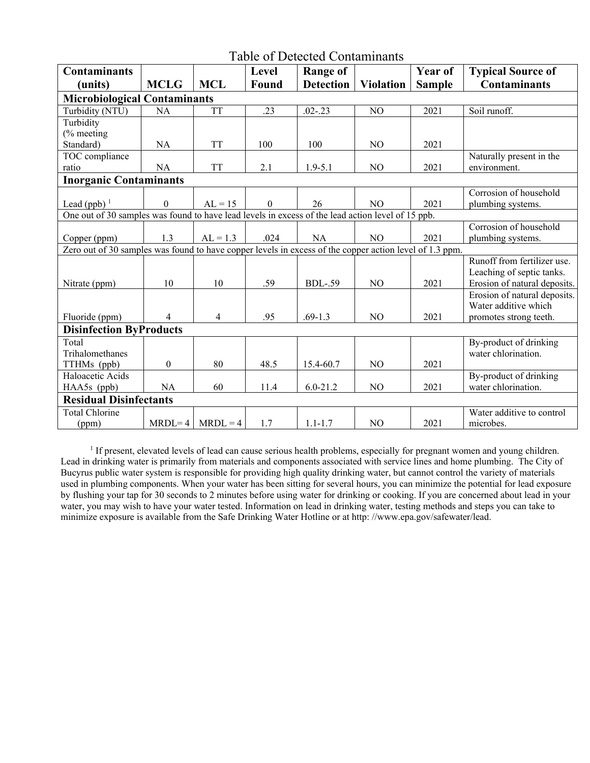| <b>Table of Detected Contaminants</b>                                                                   |                  |            |                  |                  |                  |                |                              |  |
|---------------------------------------------------------------------------------------------------------|------------------|------------|------------------|------------------|------------------|----------------|------------------------------|--|
| <b>Contaminants</b>                                                                                     |                  |            | Level            | <b>Range of</b>  |                  | <b>Year of</b> | <b>Typical Source of</b>     |  |
| (units)                                                                                                 | <b>MCLG</b>      | <b>MCL</b> | Found            | <b>Detection</b> | <b>Violation</b> | <b>Sample</b>  | <b>Contaminants</b>          |  |
| <b>Microbiological Contaminants</b>                                                                     |                  |            |                  |                  |                  |                |                              |  |
| Turbidity (NTU)                                                                                         | <b>NA</b>        | <b>TT</b>  | .23              | $.02 - .23$      | NO               | 2021           | Soil runoff.                 |  |
| Turbidity                                                                                               |                  |            |                  |                  |                  |                |                              |  |
| (% meeting                                                                                              |                  |            |                  |                  |                  |                |                              |  |
| Standard)                                                                                               | NA               | <b>TT</b>  | 100              | 100              | NO               | 2021           |                              |  |
| TOC compliance                                                                                          |                  |            |                  |                  |                  |                | Naturally present in the     |  |
| ratio                                                                                                   | NA               | <b>TT</b>  | 2.1              | $1.9 - 5.1$      | N <sub>O</sub>   | 2021           | environment.                 |  |
| <b>Inorganic Contaminants</b>                                                                           |                  |            |                  |                  |                  |                |                              |  |
|                                                                                                         |                  |            |                  |                  |                  |                | Corrosion of household       |  |
| Lead (ppb) $1$                                                                                          | $\boldsymbol{0}$ | $AL = 15$  | $\boldsymbol{0}$ | 26               | N <sub>O</sub>   | 2021           | plumbing systems.            |  |
| One out of 30 samples was found to have lead levels in excess of the lead action level of 15 ppb.       |                  |            |                  |                  |                  |                |                              |  |
|                                                                                                         |                  |            |                  |                  |                  |                | Corrosion of household       |  |
| Copper (ppm)                                                                                            | 1.3              | $AL = 1.3$ | .024             | <b>NA</b>        | N <sub>O</sub>   | 2021           | plumbing systems.            |  |
| Zero out of 30 samples was found to have copper levels in excess of the copper action level of 1.3 ppm. |                  |            |                  |                  |                  |                |                              |  |
|                                                                                                         |                  |            |                  |                  |                  |                | Runoff from fertilizer use.  |  |
|                                                                                                         |                  |            |                  |                  |                  |                | Leaching of septic tanks.    |  |
| Nitrate (ppm)                                                                                           | 10               | 10         | .59              | <b>BDL-.59</b>   | N <sub>O</sub>   | 2021           | Erosion of natural deposits. |  |
|                                                                                                         |                  |            |                  |                  |                  |                | Erosion of natural deposits. |  |
|                                                                                                         |                  |            |                  |                  |                  |                | Water additive which         |  |
| Fluoride (ppm)                                                                                          | 4                | 4          | .95              | $.69 - 1.3$      | N <sub>O</sub>   | 2021           | promotes strong teeth.       |  |
| <b>Disinfection ByProducts</b>                                                                          |                  |            |                  |                  |                  |                |                              |  |
| Total                                                                                                   |                  |            |                  |                  |                  |                | By-product of drinking       |  |
| Trihalomethanes                                                                                         |                  |            |                  |                  |                  |                | water chlorination.          |  |
| TTHMs (ppb)                                                                                             | $\boldsymbol{0}$ | 80         | 48.5             | 15.4-60.7        | N <sub>O</sub>   | 2021           |                              |  |
| Haloacetic Acids                                                                                        |                  |            |                  |                  |                  |                | By-product of drinking       |  |
| HAA5s (ppb)                                                                                             | <b>NA</b>        | 60         | 11.4             | $6.0 - 21.2$     | NO               | 2021           | water chlorination.          |  |
| <b>Residual Disinfectants</b>                                                                           |                  |            |                  |                  |                  |                |                              |  |
| <b>Total Chlorine</b>                                                                                   |                  |            |                  |                  |                  |                | Water additive to control    |  |
| (ppm)                                                                                                   | $MRDL=4$         | $MRDL = 4$ | 1.7              | $1.1 - 1.7$      | NO               | 2021           | microbes.                    |  |

<sup>1</sup> If present, elevated levels of lead can cause serious health problems, especially for pregnant women and young children. Lead in drinking water is primarily from materials and components associated with service lines and home plumbing. The City of Bucyrus public water system is responsible for providing high quality drinking water, but cannot control the variety of materials used in plumbing components. When your water has been sitting for several hours, you can minimize the potential for lead exposure by flushing your tap for 30 seconds to 2 minutes before using water for drinking or cooking. If you are concerned about lead in your water, you may wish to have your water tested. Information on lead in drinking water, testing methods and steps you can take to minimize exposure is available from the Safe Drinking Water Hotline or at http: //www.epa.gov/safewater/lead.